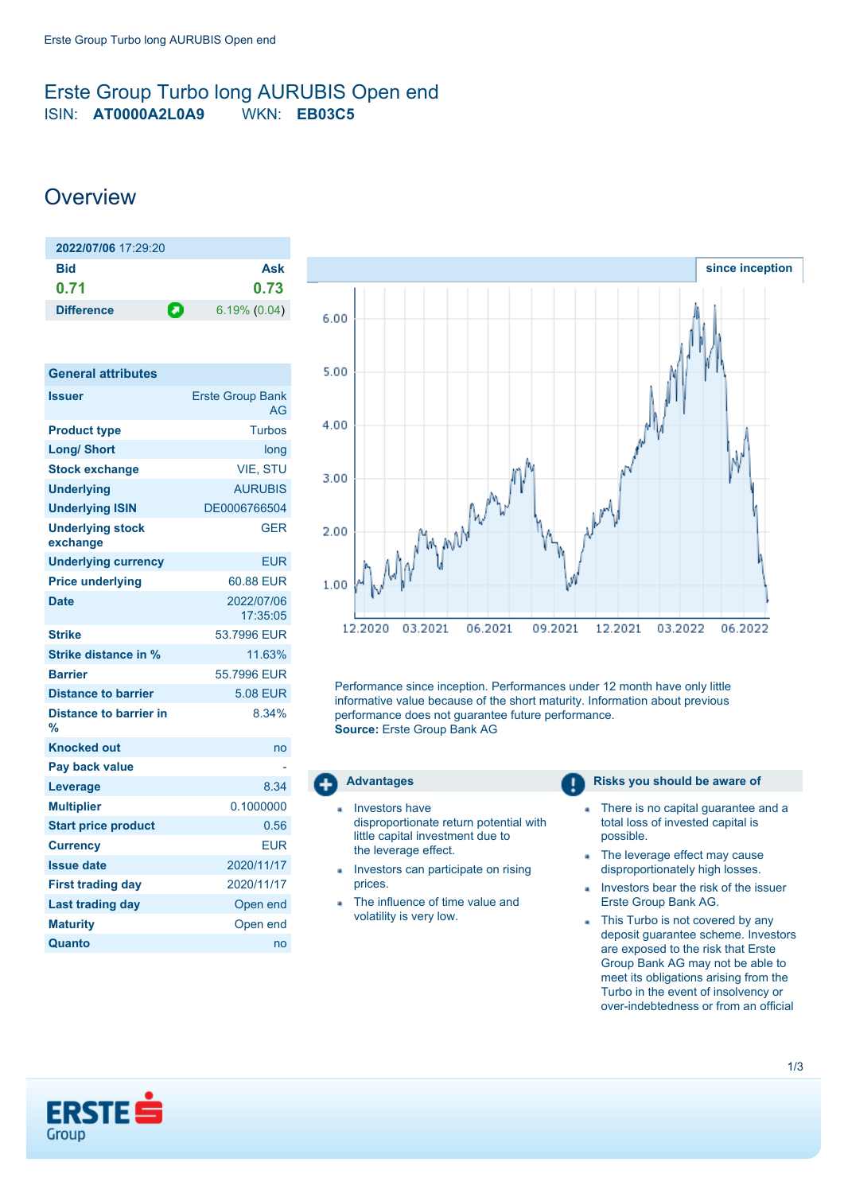## <span id="page-0-0"></span>Erste Group Turbo long AURUBIS Open end ISIN: **AT0000A2L0A9** WKN: **EB03C5**

# **Overview**

| $2022/07/06$ 17:29:20 |                      |
|-----------------------|----------------------|
| Bid                   | Ask                  |
| 0.71                  | 0.73                 |
| <b>Difference</b>     | п<br>$6.19\%$ (0.04) |

| <b>General attributes</b>           |                               |
|-------------------------------------|-------------------------------|
| <b>Issuer</b>                       | <b>Erste Group Bank</b><br>AG |
| <b>Product type</b>                 | Turbos                        |
| <b>Long/ Short</b>                  | long                          |
| <b>Stock exchange</b>               | <b>VIE. STU</b>               |
| <b>Underlying</b>                   | <b>AURUBIS</b>                |
| <b>Underlying ISIN</b>              | DE0006766504                  |
| <b>Underlying stock</b><br>exchange | <b>GER</b>                    |
| <b>Underlying currency</b>          | <b>EUR</b>                    |
| <b>Price underlying</b>             | 60.88 EUR                     |
| <b>Date</b>                         | 2022/07/06<br>17:35:05        |
| <b>Strike</b>                       | 53.7996 FUR                   |
| <b>Strike distance in %</b>         | 11.63%                        |
| <b>Barrier</b>                      | 55.7996 FUR                   |
| <b>Distance to barrier</b>          | <b>5.08 EUR</b>               |
| <b>Distance to barrier in</b><br>%  | 8.34%                         |
| <b>Knocked out</b>                  | no                            |
| Pay back value                      |                               |
| Leverage                            | 8.34                          |
| <b>Multiplier</b>                   | 0.1000000                     |
| <b>Start price product</b>          | 0.56                          |
| <b>Currency</b>                     | <b>EUR</b>                    |
| <b>Issue date</b>                   | 2020/11/17                    |
| <b>First trading day</b>            | 2020/11/17                    |
| <b>Last trading day</b>             | Open end                      |
| <b>Maturity</b>                     | Open end                      |
| Quanto                              | no                            |



Performance since inception. Performances under 12 month have only little informative value because of the short maturity. Information about previous performance does not guarantee future performance. **Source:** Erste Group Bank AG



- Investors have disproportionate return potential with little capital investment due to the leverage effect.
- Investors can participate on rising prices.
- The influence of time value and volatility is very low.

#### **Advantages Risks you should be aware of Risks** you should be aware of

- There is no capital guarantee and a × total loss of invested capital is possible.
- The leverage effect may cause disproportionately high losses.
- Investors bear the risk of the issuer Erste Group Bank AG.
- This Turbo is not covered by any deposit guarantee scheme. Investors are exposed to the risk that Erste Group Bank AG may not be able to meet its obligations arising from the Turbo in the event of insolvency or over-indebtedness or from an official

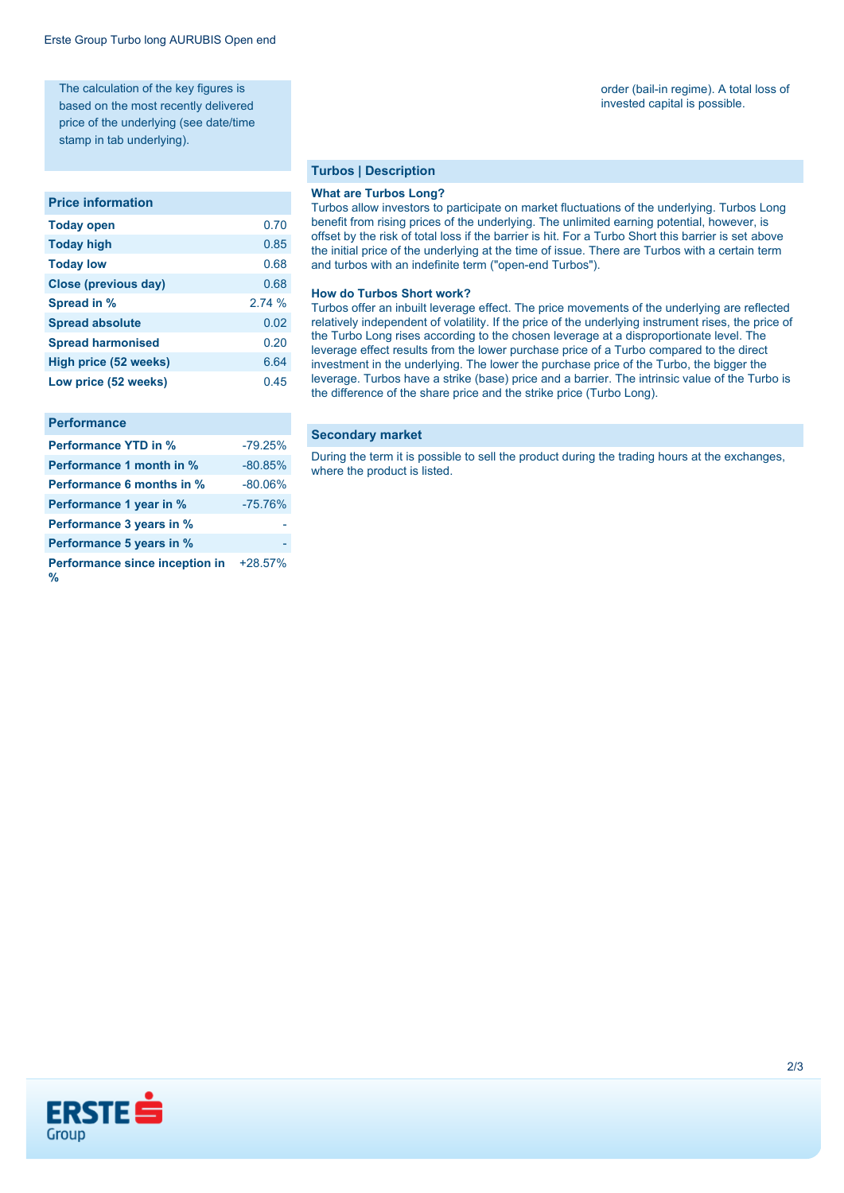The calculation of the key figures is based on the most recently delivered price of the underlying (see date/time stamp in tab underlying).

#### **Price information**

| <b>Today open</b>            | 0.70   |
|------------------------------|--------|
| <b>Today high</b>            | 0.85   |
| <b>Today low</b>             | 0.68   |
| <b>Close (previous day)</b>  | 0.68   |
| Spread in %                  | 2.74 % |
| <b>Spread absolute</b>       | 0.02   |
| <b>Spread harmonised</b>     | 0.20   |
| <b>High price (52 weeks)</b> | 6.64   |
| Low price (52 weeks)         | 0.45   |

#### **Performance**

| <b>Performance YTD in %</b>         | $-79.25%$ |
|-------------------------------------|-----------|
| Performance 1 month in %            | $-80.85%$ |
| <b>Performance 6 months in %</b>    | $-80.06%$ |
| Performance 1 year in %             | $-75.76%$ |
| Performance 3 years in %            |           |
| Performance 5 years in %            |           |
| Performance since inception in<br>% | $+28.57%$ |

#### **Turbos | Description**

#### **What are Turbos Long?**

Turbos allow investors to participate on market fluctuations of the underlying. Turbos Long benefit from rising prices of the underlying. The unlimited earning potential, however, is offset by the risk of total loss if the barrier is hit. For a Turbo Short this barrier is set above the initial price of the underlying at the time of issue. There are Turbos with a certain term and turbos with an indefinite term ("open-end Turbos").

#### **How do Turbos Short work?**

Turbos offer an inbuilt leverage effect. The price movements of the underlying are reflected relatively independent of volatility. If the price of the underlying instrument rises, the price of the Turbo Long rises according to the chosen leverage at a disproportionate level. The leverage effect results from the lower purchase price of a Turbo compared to the direct investment in the underlying. The lower the purchase price of the Turbo, the bigger the leverage. Turbos have a strike (base) price and a barrier. The intrinsic value of the Turbo is the difference of the share price and the strike price (Turbo Long).

#### **Secondary market**

During the term it is possible to sell the product during the trading hours at the exchanges, where the product is listed.

#### order (bail-in regime). A total loss of invested capital is possible.